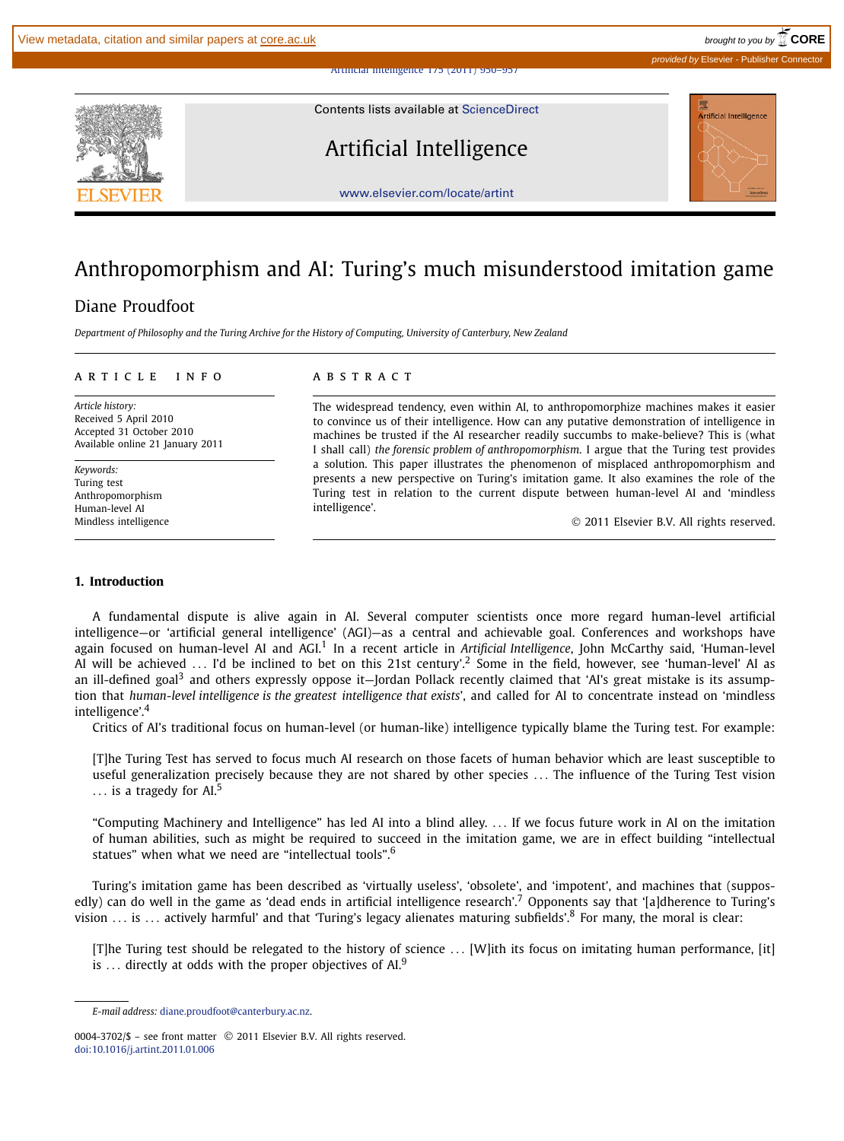[Artificial Intelligence 175 \(2011\) 950–957](http://dx.doi.org/10.1016/j.artint.2011.01.006)

Contents lists available at [ScienceDirect](http://www.ScienceDirect.com/)

## Artificial Intelligence



[www.elsevier.com/locate/artint](http://www.elsevier.com/locate/artint)

# Anthropomorphism and AI: Turing's much misunderstood imitation game

### Diane Proudfoot

*Department of Philosophy and the Turing Archive for the History of Computing, University of Canterbury, New Zealand*

#### article info abstract

*Article history:* Received 5 April 2010 Accepted 31 October 2010 Available online 21 January 2011

*Keywords:* Turing test Anthropomorphism Human-level AI Mindless intelligence

The widespread tendency, even within AI, to anthropomorphize machines makes it easier to convince us of their intelligence. How can any putative demonstration of intelligence in machines be trusted if the AI researcher readily succumbs to make-believe? This is (what I shall call) *the forensic problem of anthropomorphism*. I argue that the Turing test provides a solution. This paper illustrates the phenomenon of misplaced anthropomorphism and presents a new perspective on Turing's imitation game. It also examines the role of the Turing test in relation to the current dispute between human-level AI and 'mindless intelligence'.

© 2011 Elsevier B.V. All rights reserved.

### **1. Introduction**

A fundamental dispute is alive again in AI. Several computer scientists once more regard human-level artificial intelligence—or 'artificial general intelligence' (AGI)—as a central and achievable goal. Conferences and workshops have again focused on human-level AI and AGI.<sup>1</sup> In a recent article in *Artificial Intelligence*, John McCarthy said, 'Human-level AI will be achieved ... I'd be inclined to bet on this 21st century'.<sup>2</sup> Some in the field, however, see 'human-level' AI as an ill-defined goal<sup>3</sup> and others expressly oppose it—Jordan Pollack recently claimed that 'AI's great mistake is its assumption that *human-level intelligence is the greatest intelligence that exists*', and called for AI to concentrate instead on 'mindless intelligence'.<sup>4</sup>

Critics of AI's traditional focus on human-level (or human-like) intelligence typically blame the Turing test. For example:

[T]he Turing Test has served to focus much AI research on those facets of human behavior which are least susceptible to useful generalization precisely because they are not shared by other species *...* The influence of the Turing Test vision *...* is a tragedy for AI.5

"Computing Machinery and Intelligence" has led AI into a blind alley. *...* If we focus future work in AI on the imitation of human abilities, such as might be required to succeed in the imitation game, we are in effect building "intellectual statues" when what we need are "intellectual tools".<sup>6</sup>

Turing's imitation game has been described as 'virtually useless', 'obsolete', and 'impotent', and machines that (supposedly) can do well in the game as 'dead ends in artificial intelligence research'.<sup>7</sup> Opponents say that '[a]dherence to Turing's vision ... is ... actively harmful' and that 'Turing's legacy alienates maturing subfields'.<sup>8</sup> For many, the moral is clear:

[T]he Turing test should be relegated to the history of science *...* [W]ith its focus on imitating human performance, [it] is *...* directly at odds with the proper objectives of AI.<sup>9</sup>

*E-mail address:* [diane.proudfoot@canterbury.ac.nz.](mailto:diane.proudfoot@canterbury.ac.nz)

<sup>0004-3702/\$ –</sup> see front matter © 2011 Elsevier B.V. All rights reserved. [doi:10.1016/j.artint.2011.01.006](http://dx.doi.org/10.1016/j.artint.2011.01.006)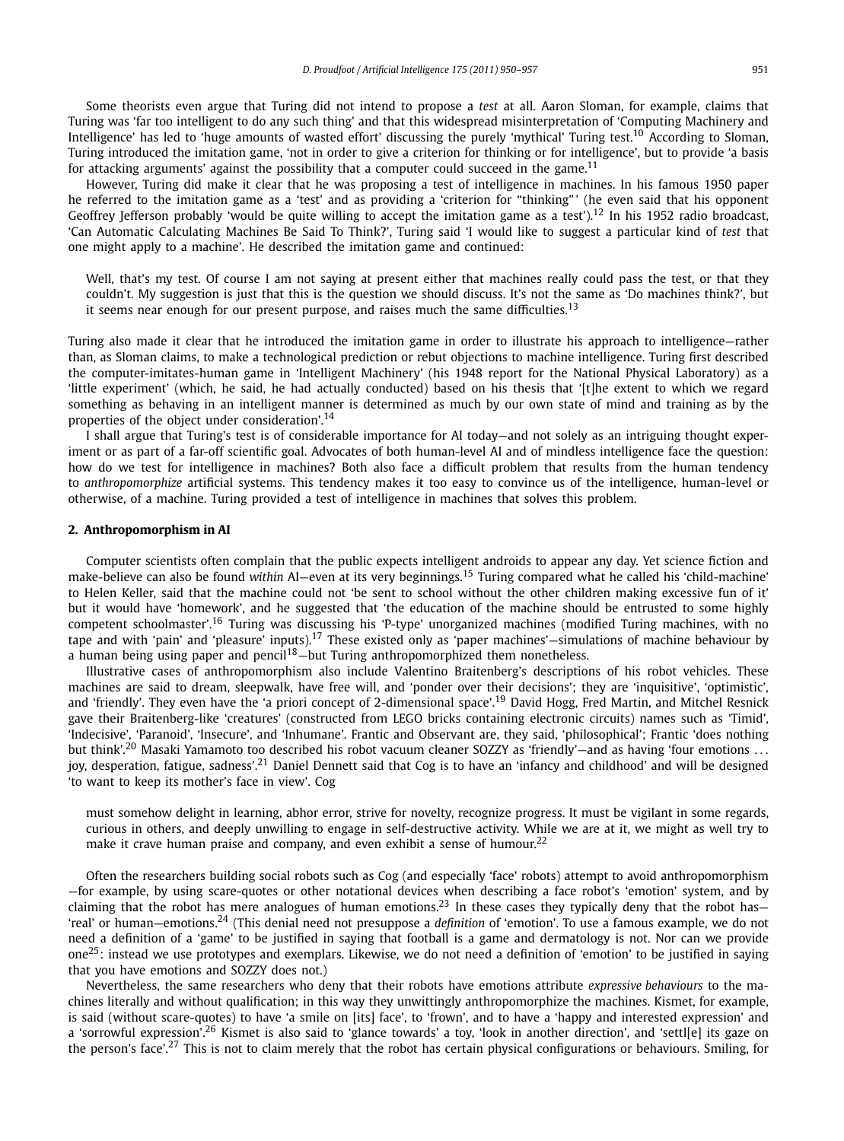Some theorists even argue that Turing did not intend to propose a *test* at all. Aaron Sloman, for example, claims that Turing was 'far too intelligent to do any such thing' and that this widespread misinterpretation of 'Computing Machinery and Intelligence' has led to 'huge amounts of wasted effort' discussing the purely 'mythical' Turing test.10 According to Sloman, Turing introduced the imitation game, 'not in order to give a criterion for thinking or for intelligence', but to provide 'a basis for attacking arguments' against the possibility that a computer could succeed in the game.<sup>11</sup>

However, Turing did make it clear that he was proposing a test of intelligence in machines. In his famous 1950 paper he referred to the imitation game as a 'test' and as providing a 'criterion for "thinking" ' (he even said that his opponent Geoffrey Jefferson probably 'would be quite willing to accept the imitation game as a test').<sup>12</sup> In his 1952 radio broadcast, 'Can Automatic Calculating Machines Be Said To Think?', Turing said 'I would like to suggest a particular kind of *test* that one might apply to a machine'. He described the imitation game and continued:

Well, that's my test. Of course I am not saying at present either that machines really could pass the test, or that they couldn't. My suggestion is just that this is the question we should discuss. It's not the same as 'Do machines think?', but it seems near enough for our present purpose, and raises much the same difficulties.<sup>13</sup>

Turing also made it clear that he introduced the imitation game in order to illustrate his approach to intelligence—rather than, as Sloman claims, to make a technological prediction or rebut objections to machine intelligence. Turing first described the computer-imitates-human game in 'Intelligent Machinery' (his 1948 report for the National Physical Laboratory) as a 'little experiment' (which, he said, he had actually conducted) based on his thesis that '[t]he extent to which we regard something as behaving in an intelligent manner is determined as much by our own state of mind and training as by the properties of the object under consideration'.<sup>14</sup>

I shall argue that Turing's test is of considerable importance for AI today—and not solely as an intriguing thought experiment or as part of a far-off scientific goal. Advocates of both human-level AI and of mindless intelligence face the question: how do we test for intelligence in machines? Both also face a difficult problem that results from the human tendency to *anthropomorphize* artificial systems. This tendency makes it too easy to convince us of the intelligence, human-level or otherwise, of a machine. Turing provided a test of intelligence in machines that solves this problem.

#### **2. Anthropomorphism in AI**

Computer scientists often complain that the public expects intelligent androids to appear any day. Yet science fiction and make-believe can also be found *within* AI—even at its very beginnings.<sup>15</sup> Turing compared what he called his 'child-machine' to Helen Keller, said that the machine could not 'be sent to school without the other children making excessive fun of it' but it would have 'homework', and he suggested that 'the education of the machine should be entrusted to some highly competent schoolmaster'.16 Turing was discussing his 'P-type' unorganized machines (modified Turing machines, with no tape and with 'pain' and 'pleasure' inputs).17 These existed only as 'paper machines'—simulations of machine behaviour by a human being using paper and pencil<sup>18</sup>-but Turing anthropomorphized them nonetheless.

Illustrative cases of anthropomorphism also include Valentino Braitenberg's descriptions of his robot vehicles. These machines are said to dream, sleepwalk, have free will, and 'ponder over their decisions'; they are 'inquisitive', 'optimistic', and 'friendly'. They even have the 'a priori concept of 2-dimensional space'.<sup>19</sup> David Hogg, Fred Martin, and Mitchel Resnick gave their Braitenberg-like 'creatures' (constructed from LEGO bricks containing electronic circuits) names such as 'Timid', 'Indecisive', 'Paranoid', 'Insecure', and 'Inhumane'. Frantic and Observant are, they said, 'philosophical'; Frantic 'does nothing but think'.20 Masaki Yamamoto too described his robot vacuum cleaner SOZZY as 'friendly'—and as having 'four emotions *...* joy, desperation, fatigue, sadness'.<sup>21</sup> Daniel Dennett said that Cog is to have an 'infancy and childhood' and will be designed 'to want to keep its mother's face in view'. Cog

must somehow delight in learning, abhor error, strive for novelty, recognize progress. It must be vigilant in some regards, curious in others, and deeply unwilling to engage in self-destructive activity. While we are at it, we might as well try to make it crave human praise and company, and even exhibit a sense of humour.<sup>22</sup>

Often the researchers building social robots such as Cog (and especially 'face' robots) attempt to avoid anthropomorphism —for example, by using scare-quotes or other notational devices when describing a face robot's 'emotion' system, and by claiming that the robot has mere analogues of human emotions.<sup>23</sup> In these cases they typically deny that the robot has— 'real' or human—emotions.<sup>24</sup> (This denial need not presuppose a *definition* of 'emotion'. To use a famous example, we do not need a definition of a 'game' to be justified in saying that football is a game and dermatology is not. Nor can we provide one25: instead we use prototypes and exemplars. Likewise, we do not need a definition of 'emotion' to be justified in saying that you have emotions and SOZZY does not.)

Nevertheless, the same researchers who deny that their robots have emotions attribute *expressive behaviours* to the machines literally and without qualification; in this way they unwittingly anthropomorphize the machines. Kismet, for example, is said (without scare-quotes) to have 'a smile on [its] face', to 'frown', and to have a 'happy and interested expression' and a 'sorrowful expression'.<sup>26</sup> Kismet is also said to 'glance towards' a toy, 'look in another direction', and 'settl[e] its gaze on the person's face'.<sup>27</sup> This is not to claim merely that the robot has certain physical configurations or behaviours. Smiling, for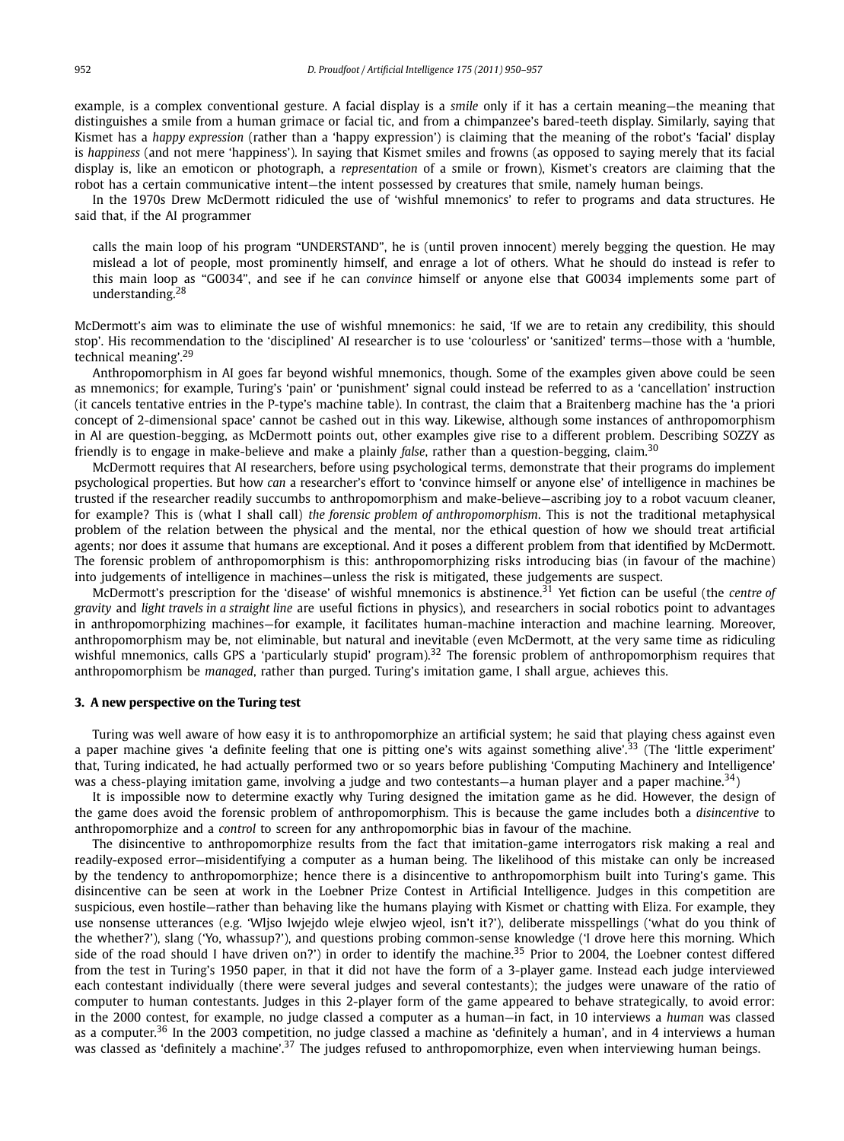example, is a complex conventional gesture. A facial display is a *smile* only if it has a certain meaning—the meaning that distinguishes a smile from a human grimace or facial tic, and from a chimpanzee's bared-teeth display. Similarly, saying that Kismet has a *happy expression* (rather than a 'happy expression') is claiming that the meaning of the robot's 'facial' display is *happiness* (and not mere 'happiness'). In saying that Kismet smiles and frowns (as opposed to saying merely that its facial display is, like an emoticon or photograph, a *representation* of a smile or frown), Kismet's creators are claiming that the robot has a certain communicative intent—the intent possessed by creatures that smile, namely human beings.

In the 1970s Drew McDermott ridiculed the use of 'wishful mnemonics' to refer to programs and data structures. He said that, if the AI programmer

calls the main loop of his program "UNDERSTAND", he is (until proven innocent) merely begging the question. He may mislead a lot of people, most prominently himself, and enrage a lot of others. What he should do instead is refer to this main loop as "G0034", and see if he can *convince* himself or anyone else that G0034 implements some part of understanding.28

McDermott's aim was to eliminate the use of wishful mnemonics: he said, 'If we are to retain any credibility, this should stop'. His recommendation to the 'disciplined' AI researcher is to use 'colourless' or 'sanitized' terms—those with a 'humble, technical meaning'.29

Anthropomorphism in AI goes far beyond wishful mnemonics, though. Some of the examples given above could be seen as mnemonics; for example, Turing's 'pain' or 'punishment' signal could instead be referred to as a 'cancellation' instruction (it cancels tentative entries in the P-type's machine table). In contrast, the claim that a Braitenberg machine has the 'a priori concept of 2-dimensional space' cannot be cashed out in this way. Likewise, although some instances of anthropomorphism in AI are question-begging, as McDermott points out, other examples give rise to a different problem. Describing SOZZY as friendly is to engage in make-believe and make a plainly *false*, rather than a question-begging, claim.<sup>30</sup>

McDermott requires that AI researchers, before using psychological terms, demonstrate that their programs do implement psychological properties. But how *can* a researcher's effort to 'convince himself or anyone else' of intelligence in machines be trusted if the researcher readily succumbs to anthropomorphism and make-believe—ascribing joy to a robot vacuum cleaner, for example? This is (what I shall call) *the forensic problem of anthropomorphism*. This is not the traditional metaphysical problem of the relation between the physical and the mental, nor the ethical question of how we should treat artificial agents; nor does it assume that humans are exceptional. And it poses a different problem from that identified by McDermott. The forensic problem of anthropomorphism is this: anthropomorphizing risks introducing bias (in favour of the machine) into judgements of intelligence in machines—unless the risk is mitigated, these judgements are suspect.

McDermott's prescription for the 'disease' of wishful mnemonics is abstinence.<sup>31</sup> Yet fiction can be useful (the *centre of gravity* and *light travels in a straight line* are useful fictions in physics), and researchers in social robotics point to advantages in anthropomorphizing machines—for example, it facilitates human-machine interaction and machine learning. Moreover, anthropomorphism may be, not eliminable, but natural and inevitable (even McDermott, at the very same time as ridiculing wishful mnemonics, calls GPS a 'particularly stupid' program).<sup>32</sup> The forensic problem of anthropomorphism requires that anthropomorphism be *managed*, rather than purged. Turing's imitation game, I shall argue, achieves this.

#### **3. A new perspective on the Turing test**

Turing was well aware of how easy it is to anthropomorphize an artificial system; he said that playing chess against even a paper machine gives 'a definite feeling that one is pitting one's wits against something alive'.<sup>33</sup> (The 'little experiment' that, Turing indicated, he had actually performed two or so years before publishing 'Computing Machinery and Intelligence' was a chess-playing imitation game, involving a judge and two contestants—a human player and a paper machine.<sup>34</sup>)

It is impossible now to determine exactly why Turing designed the imitation game as he did. However, the design of the game does avoid the forensic problem of anthropomorphism. This is because the game includes both a *disincentive* to anthropomorphize and a *control* to screen for any anthropomorphic bias in favour of the machine.

The disincentive to anthropomorphize results from the fact that imitation-game interrogators risk making a real and readily-exposed error—misidentifying a computer as a human being. The likelihood of this mistake can only be increased by the tendency to anthropomorphize; hence there is a disincentive to anthropomorphism built into Turing's game. This disincentive can be seen at work in the Loebner Prize Contest in Artificial Intelligence. Judges in this competition are suspicious, even hostile—rather than behaving like the humans playing with Kismet or chatting with Eliza. For example, they use nonsense utterances (e.g. 'Wljso lwjejdo wleje elwjeo wjeol, isn't it?'), deliberate misspellings ('what do you think of the whether?'), slang ('Yo, whassup?'), and questions probing common-sense knowledge ('I drove here this morning. Which side of the road should I have driven on?') in order to identify the machine.<sup>35</sup> Prior to 2004, the Loebner contest differed from the test in Turing's 1950 paper, in that it did not have the form of a 3-player game. Instead each judge interviewed each contestant individually (there were several judges and several contestants); the judges were unaware of the ratio of computer to human contestants. Judges in this 2-player form of the game appeared to behave strategically, to avoid error: in the 2000 contest, for example, no judge classed a computer as a human—in fact, in 10 interviews a *human* was classed as a computer.<sup>36</sup> In the 2003 competition, no judge classed a machine as 'definitely a human', and in 4 interviews a human was classed as 'definitely a machine'.<sup>37</sup> The judges refused to anthropomorphize, even when interviewing human beings.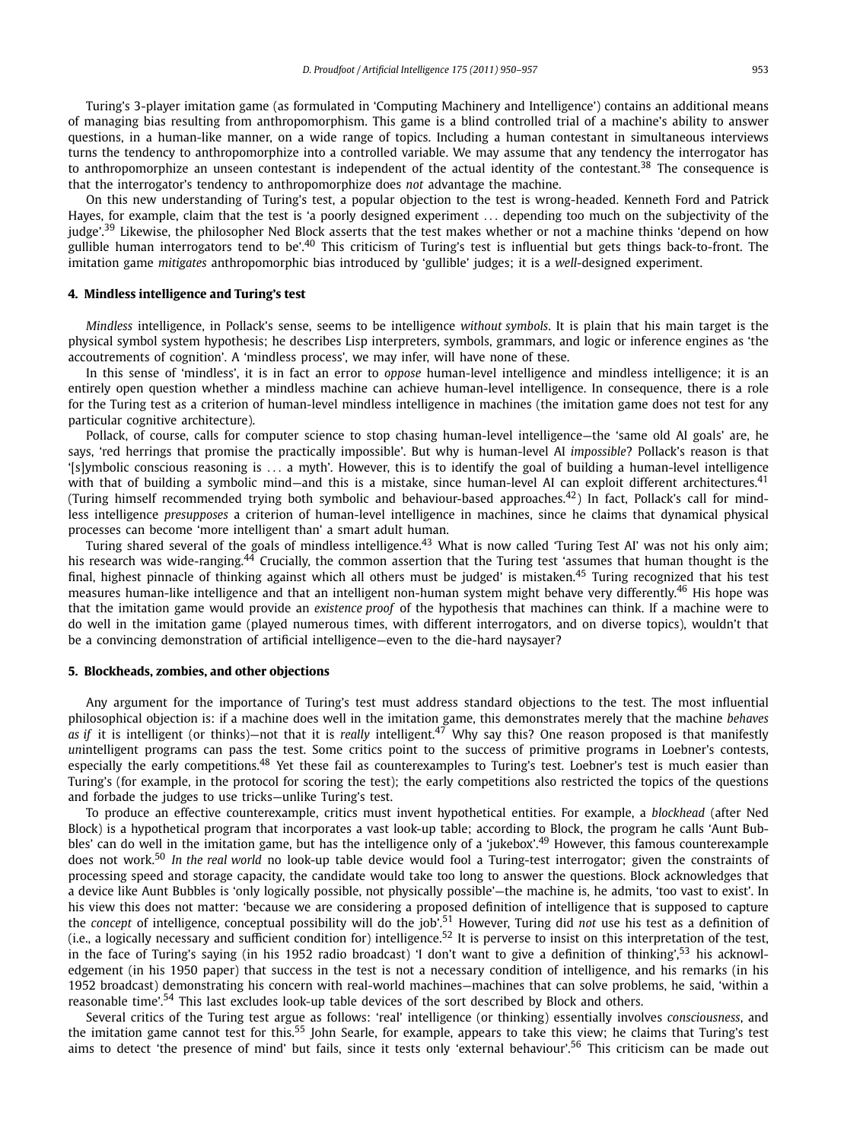Turing's 3-player imitation game (as formulated in 'Computing Machinery and Intelligence') contains an additional means of managing bias resulting from anthropomorphism. This game is a blind controlled trial of a machine's ability to answer questions, in a human-like manner, on a wide range of topics. Including a human contestant in simultaneous interviews turns the tendency to anthropomorphize into a controlled variable. We may assume that any tendency the interrogator has to anthropomorphize an unseen contestant is independent of the actual identity of the contestant.<sup>38</sup> The consequence is that the interrogator's tendency to anthropomorphize does *not* advantage the machine.

On this new understanding of Turing's test, a popular objection to the test is wrong-headed. Kenneth Ford and Patrick Hayes, for example, claim that the test is 'a poorly designed experiment *...* depending too much on the subjectivity of the judge'.<sup>39</sup> Likewise, the philosopher Ned Block asserts that the test makes whether or not a machine thinks 'depend on how gullible human interrogators tend to be'.<sup>40</sup> This criticism of Turing's test is influential but gets things back-to-front. The imitation game *mitigates* anthropomorphic bias introduced by 'gullible' judges; it is a *well*-designed experiment.

#### **4. Mindless intelligence and Turing's test**

*Mindless* intelligence, in Pollack's sense, seems to be intelligence *without symbols*. It is plain that his main target is the physical symbol system hypothesis; he describes Lisp interpreters, symbols, grammars, and logic or inference engines as 'the accoutrements of cognition'. A 'mindless process', we may infer, will have none of these.

In this sense of 'mindless', it is in fact an error to *oppose* human-level intelligence and mindless intelligence; it is an entirely open question whether a mindless machine can achieve human-level intelligence. In consequence, there is a role for the Turing test as a criterion of human-level mindless intelligence in machines (the imitation game does not test for any particular cognitive architecture).

Pollack, of course, calls for computer science to stop chasing human-level intelligence—the 'same old AI goals' are, he says, 'red herrings that promise the practically impossible'. But why is human-level AI *impossible*? Pollack's reason is that '[s]ymbolic conscious reasoning is *...* a myth'. However, this is to identify the goal of building a human-level intelligence with that of building a symbolic mind—and this is a mistake, since human-level AI can exploit different architectures.<sup>41</sup> (Turing himself recommended trying both symbolic and behaviour-based approaches.<sup>42</sup>) In fact, Pollack's call for mindless intelligence *presupposes* a criterion of human-level intelligence in machines, since he claims that dynamical physical processes can become 'more intelligent than' a smart adult human.

Turing shared several of the goals of mindless intelligence.<sup>43</sup> What is now called 'Turing Test AI' was not his only aim; his research was wide-ranging.<sup>44</sup> Crucially, the common assertion that the Turing test 'assumes that human thought is the final, highest pinnacle of thinking against which all others must be judged' is mistaken.45 Turing recognized that his test measures human-like intelligence and that an intelligent non-human system might behave very differently.<sup>46</sup> His hope was that the imitation game would provide an *existence proof* of the hypothesis that machines can think. If a machine were to do well in the imitation game (played numerous times, with different interrogators, and on diverse topics), wouldn't that be a convincing demonstration of artificial intelligence—even to the die-hard naysayer?

#### **5. Blockheads, zombies, and other objections**

Any argument for the importance of Turing's test must address standard objections to the test. The most influential philosophical objection is: if a machine does well in the imitation game, this demonstrates merely that the machine *behaves as if* it is intelligent (or thinks)—not that it is *really* intelligent.<sup>47</sup> Why say this? One reason proposed is that manifestly *un*intelligent programs can pass the test. Some critics point to the success of primitive programs in Loebner's contests, especially the early competitions.<sup>48</sup> Yet these fail as counterexamples to Turing's test. Loebner's test is much easier than Turing's (for example, in the protocol for scoring the test); the early competitions also restricted the topics of the questions and forbade the judges to use tricks—unlike Turing's test.

To produce an effective counterexample, critics must invent hypothetical entities. For example, a *blockhead* (after Ned Block) is a hypothetical program that incorporates a vast look-up table; according to Block, the program he calls 'Aunt Bubbles' can do well in the imitation game, but has the intelligence only of a 'jukebox'.49 However, this famous counterexample does not work.<sup>50</sup> *In the real world* no look-up table device would fool a Turing-test interrogator; given the constraints of processing speed and storage capacity, the candidate would take too long to answer the questions. Block acknowledges that a device like Aunt Bubbles is 'only logically possible, not physically possible'—the machine is, he admits, 'too vast to exist'. In his view this does not matter: 'because we are considering a proposed definition of intelligence that is supposed to capture the *concept* of intelligence, conceptual possibility will do the job'.51 However, Turing did *not* use his test as a definition of (i.e., a logically necessary and sufficient condition for) intelligence.<sup>52</sup> It is perverse to insist on this interpretation of the test, in the face of Turing's saying (in his 1952 radio broadcast) 'I don't want to give a definition of thinking',<sup>53</sup> his acknowledgement (in his 1950 paper) that success in the test is not a necessary condition of intelligence, and his remarks (in his 1952 broadcast) demonstrating his concern with real-world machines—machines that can solve problems, he said, 'within a reasonable time'.54 This last excludes look-up table devices of the sort described by Block and others.

Several critics of the Turing test argue as follows: 'real' intelligence (or thinking) essentially involves *consciousness*, and the imitation game cannot test for this.55 John Searle, for example, appears to take this view; he claims that Turing's test aims to detect 'the presence of mind' but fails, since it tests only 'external behaviour'.<sup>56</sup> This criticism can be made out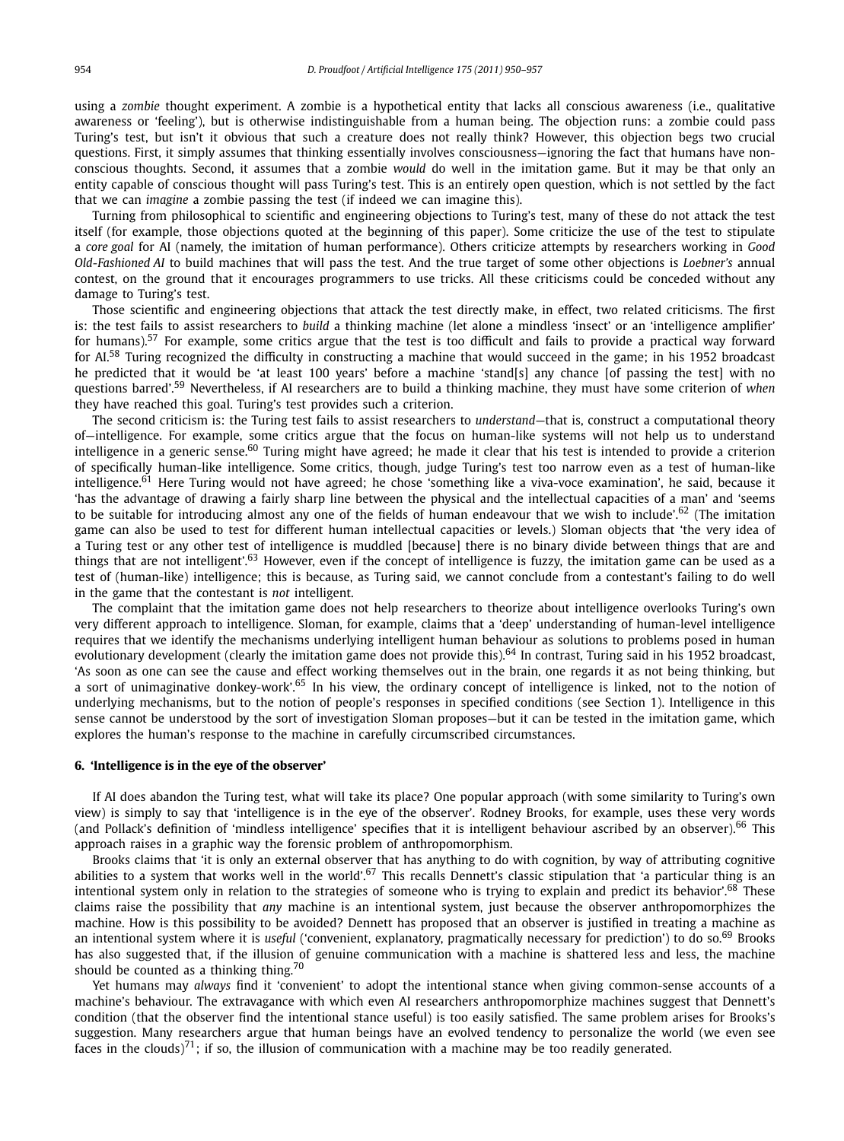using a *zombie* thought experiment. A zombie is a hypothetical entity that lacks all conscious awareness (i.e., qualitative awareness or 'feeling'), but is otherwise indistinguishable from a human being. The objection runs: a zombie could pass Turing's test, but isn't it obvious that such a creature does not really think? However, this objection begs two crucial questions. First, it simply assumes that thinking essentially involves consciousness—ignoring the fact that humans have nonconscious thoughts. Second, it assumes that a zombie *would* do well in the imitation game. But it may be that only an entity capable of conscious thought will pass Turing's test. This is an entirely open question, which is not settled by the fact that we can *imagine* a zombie passing the test (if indeed we can imagine this).

Turning from philosophical to scientific and engineering objections to Turing's test, many of these do not attack the test itself (for example, those objections quoted at the beginning of this paper). Some criticize the use of the test to stipulate a *core goal* for AI (namely, the imitation of human performance). Others criticize attempts by researchers working in *Good Old-Fashioned AI* to build machines that will pass the test. And the true target of some other objections is *Loebner's* annual contest, on the ground that it encourages programmers to use tricks. All these criticisms could be conceded without any damage to Turing's test.

Those scientific and engineering objections that attack the test directly make, in effect, two related criticisms. The first is: the test fails to assist researchers to *build* a thinking machine (let alone a mindless 'insect' or an 'intelligence amplifier' for humans).<sup>57</sup> For example, some critics argue that the test is too difficult and fails to provide a practical way forward for AI.<sup>58</sup> Turing recognized the difficulty in constructing a machine that would succeed in the game; in his 1952 broadcast he predicted that it would be 'at least 100 years' before a machine 'stand[s] any chance [of passing the test] with no questions barred'.<sup>59</sup> Nevertheless, if AI researchers are to build a thinking machine, they must have some criterion of *when* they have reached this goal. Turing's test provides such a criterion.

The second criticism is: the Turing test fails to assist researchers to *understand*—that is, construct a computational theory of—intelligence. For example, some critics argue that the focus on human-like systems will not help us to understand intelligence in a generic sense.<sup>60</sup> Turing might have agreed; he made it clear that his test is intended to provide a criterion of specifically human-like intelligence. Some critics, though, judge Turing's test too narrow even as a test of human-like intelligence.<sup>61</sup> Here Turing would not have agreed; he chose 'something like a viva-voce examination', he said, because it 'has the advantage of drawing a fairly sharp line between the physical and the intellectual capacities of a man' and 'seems to be suitable for introducing almost any one of the fields of human endeavour that we wish to include'.<sup>62</sup> (The imitation game can also be used to test for different human intellectual capacities or levels.) Sloman objects that 'the very idea of a Turing test or any other test of intelligence is muddled [because] there is no binary divide between things that are and things that are not intelligent'.<sup>63</sup> However, even if the concept of intelligence is fuzzy, the imitation game can be used as a test of (human-like) intelligence; this is because, as Turing said, we cannot conclude from a contestant's failing to do well in the game that the contestant is *not* intelligent.

The complaint that the imitation game does not help researchers to theorize about intelligence overlooks Turing's own very different approach to intelligence. Sloman, for example, claims that a 'deep' understanding of human-level intelligence requires that we identify the mechanisms underlying intelligent human behaviour as solutions to problems posed in human evolutionary development (clearly the imitation game does not provide this).<sup>64</sup> In contrast, Turing said in his 1952 broadcast, 'As soon as one can see the cause and effect working themselves out in the brain, one regards it as not being thinking, but a sort of unimaginative donkey-work'.<sup>65</sup> In his view, the ordinary concept of intelligence is linked, not to the notion of underlying mechanisms, but to the notion of people's responses in specified conditions (see Section 1). Intelligence in this sense cannot be understood by the sort of investigation Sloman proposes—but it can be tested in the imitation game, which explores the human's response to the machine in carefully circumscribed circumstances.

#### **6. 'Intelligence is in the eye of the observer'**

If AI does abandon the Turing test, what will take its place? One popular approach (with some similarity to Turing's own view) is simply to say that 'intelligence is in the eye of the observer'. Rodney Brooks, for example, uses these very words (and Pollack's definition of 'mindless intelligence' specifies that it is intelligent behaviour ascribed by an observer).<sup>66</sup> This approach raises in a graphic way the forensic problem of anthropomorphism.

Brooks claims that 'it is only an external observer that has anything to do with cognition, by way of attributing cognitive abilities to a system that works well in the world'.<sup>67</sup> This recalls Dennett's classic stipulation that 'a particular thing is an intentional system only in relation to the strategies of someone who is trying to explain and predict its behavior'.<sup>68</sup> These claims raise the possibility that *any* machine is an intentional system, just because the observer anthropomorphizes the machine. How is this possibility to be avoided? Dennett has proposed that an observer is justified in treating a machine as an intentional system where it is *useful* ('convenient, explanatory, pragmatically necessary for prediction') to do so.<sup>69</sup> Brooks has also suggested that, if the illusion of genuine communication with a machine is shattered less and less, the machine should be counted as a thinking thing.<sup>70</sup>

Yet humans may *always* find it 'convenient' to adopt the intentional stance when giving common-sense accounts of a machine's behaviour. The extravagance with which even AI researchers anthropomorphize machines suggest that Dennett's condition (that the observer find the intentional stance useful) is too easily satisfied. The same problem arises for Brooks's suggestion. Many researchers argue that human beings have an evolved tendency to personalize the world (we even see faces in the clouds)<sup>71</sup>; if so, the illusion of communication with a machine may be too readily generated.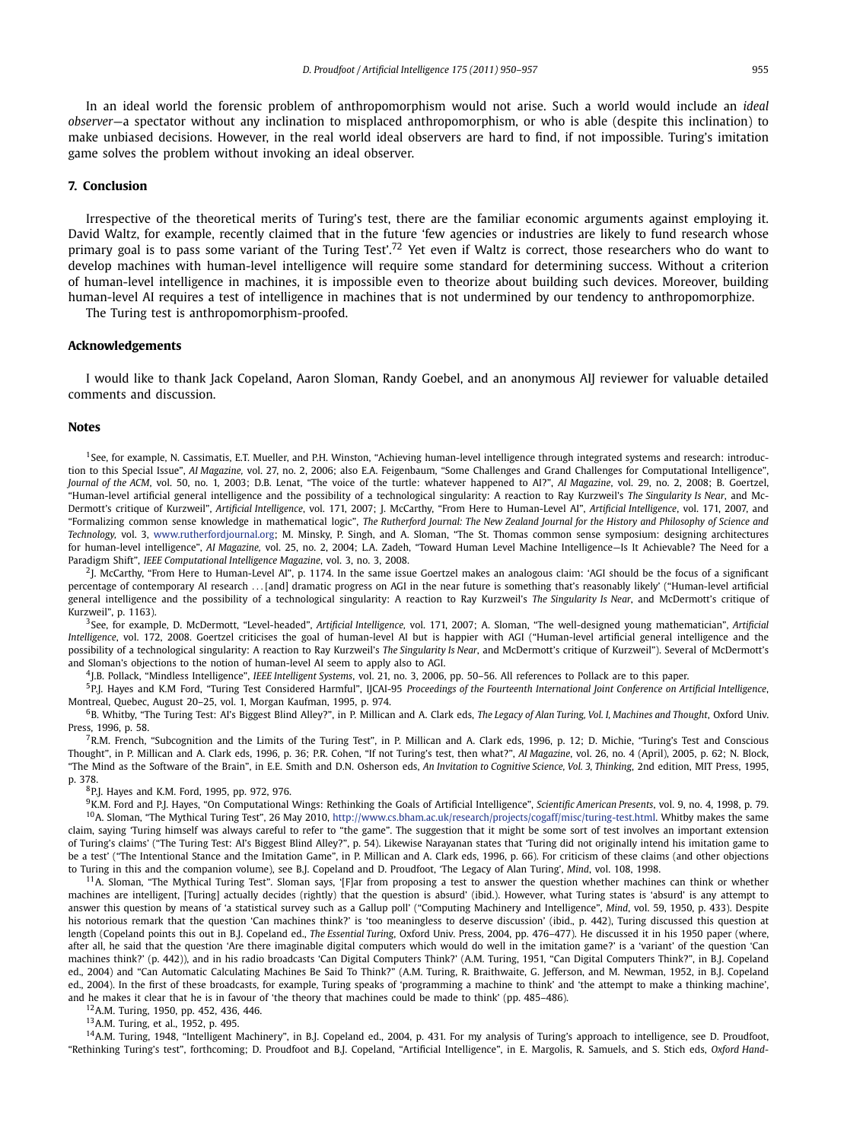In an ideal world the forensic problem of anthropomorphism would not arise. Such a world would include an *ideal observer*—a spectator without any inclination to misplaced anthropomorphism, or who is able (despite this inclination) to make unbiased decisions. However, in the real world ideal observers are hard to find, if not impossible. Turing's imitation game solves the problem without invoking an ideal observer.

#### **7. Conclusion**

Irrespective of the theoretical merits of Turing's test, there are the familiar economic arguments against employing it. David Waltz, for example, recently claimed that in the future 'few agencies or industries are likely to fund research whose primary goal is to pass some variant of the Turing Test'.<sup>72</sup> Yet even if Waltz is correct, those researchers who do want to develop machines with human-level intelligence will require some standard for determining success. Without a criterion of human-level intelligence in machines, it is impossible even to theorize about building such devices. Moreover, building human-level AI requires a test of intelligence in machines that is not undermined by our tendency to anthropomorphize.

The Turing test is anthropomorphism-proofed.

#### **Acknowledgements**

I would like to thank Jack Copeland, Aaron Sloman, Randy Goebel, and an anonymous AIJ reviewer for valuable detailed comments and discussion.

#### **Notes**

1See, for example, N. Cassimatis, E.T. Mueller, and P.H. Winston, "Achieving human-level intelligence through integrated systems and research: introduction to this Special Issue", *AI Magazine,* vol. 27, no. 2, 2006; also E.A. Feigenbaum, "Some Challenges and Grand Challenges for Computational Intelligence", *Journal of the ACM*, vol. 50, no. 1, 2003; D.B. Lenat, "The voice of the turtle: whatever happened to AI?", *AI Magazine*, vol. 29, no. 2, 2008; B. Goertzel, "Human-level artificial general intelligence and the possibility of a technological singularity: A reaction to Ray Kurzweil's *The Singularity Is Near*, and Mc-Dermott's critique of Kurzweil", *Artificial Intelligence*, vol. 171, 2007; J. McCarthy, "From Here to Human-Level AI", *Artificial Intelligence*, vol. 171, 2007, and "Formalizing common sense knowledge in mathematical logic", *The Rutherford Journal: The New Zealand Journal for the History and Philosophy of Science and Technology,* vol. 3, <www.rutherfordjournal.org>; M. Minsky, P. Singh, and A. Sloman, "The St. Thomas common sense symposium: designing architectures for human-level intelligence", *AI Magazine,* vol. 25, no. 2, 2004; L.A. Zadeh, "Toward Human Level Machine Intelligence—Is It Achievable? The Need for a Paradigm Shift", *IEEE Computational Intelligence Magazine*, vol. 3, no. 3, 2008.

 $^{2}$ J. McCarthy, "From Here to Human-Level AI", p. 1174. In the same issue Goertzel makes an analogous claim: 'AGI should be the focus of a significant percentage of contemporary AI research *...*[and] dramatic progress on AGI in the near future is something that's reasonably likely' ("Human-level artificial general intelligence and the possibility of a technological singularity: A reaction to Ray Kurzweil's *The Singularity Is Near*, and McDermott's critique of Kurzweil", p. 1163).

3See, for example, D. McDermott, "Level-headed", *Artificial Intelligence,* vol. 171, 2007; A. Sloman, "The well-designed young mathematician", *Artificial Intelligence*, vol. 172, 2008. Goertzel criticises the goal of human-level AI but is happier with AGI ("Human-level artificial general intelligence and the possibility of a technological singularity: A reaction to Ray Kurzweil's *The Singularity Is Near*, and McDermott's critique of Kurzweil"). Several of McDermott's and Sloman's objections to the notion of human-level AI seem to apply also to AGI.

4J.B. Pollack, "Mindless Intelligence", *IEEE Intelligent Systems*, vol. 21, no. 3, 2006, pp. 50–56. All references to Pollack are to this paper.

5P.J. Hayes and K.M Ford, "Turing Test Considered Harmful", IJCAI-95 *Proceedings of the Fourteenth International Joint Conference on Artificial Intelligence*, Montreal, Quebec, August 20–25, vol. 1, Morgan Kaufman, 1995, p. 974.

6B. Whitby, "The Turing Test: AI's Biggest Blind Alley?", in P. Millican and A. Clark eds, *The Legacy of Alan Turing, Vol. I, Machines and Thought*, Oxford Univ. Press, 1996, p. 58.

<sup>7</sup>R.M. French, "Subcognition and the Limits of the Turing Test", in P. Millican and A. Clark eds, 1996, p. 12; D. Michie, "Turing's Test and Conscious Thought", in P. Millican and A. Clark eds, 1996, p. 36; P.R. Cohen, "If not Turing's test, then what?", *AI Magazine*, vol. 26, no. 4 (April), 2005, p. 62; N. Block, "The Mind as the Software of the Brain", in E.E. Smith and D.N. Osherson eds, *An Invitation to Cognitive Science, Vol. 3, Thinking*, 2nd edition, MIT Press, 1995, p. 378.

8P.J. Hayes and K.M. Ford, 1995, pp. 972, 976.

9K.M. Ford and P.J. Hayes, "On Computational Wings: Rethinking the Goals of Artificial Intelligence", *Scientific American Presents*, vol. 9, no. 4, 1998, p. 79. 10A. Sloman, "The Mythical Turing Test", 26 May 2010, [http://www.cs.bham.ac.uk/research/projects/cogaff/misc/turing-test.html.](http://www.cs.bham.ac.uk/research/projects/cogaff/misc/turing-test.html) Whitby makes the same claim, saying 'Turing himself was always careful to refer to "the game". The suggestion that it might be some sort of test involves an important extension of Turing's claims' ("The Turing Test: AI's Biggest Blind Alley?", p. 54). Likewise Narayanan states that 'Turing did not originally intend his imitation game to be a test' ("The Intentional Stance and the Imitation Game", in P. Millican and A. Clark eds, 1996, p. 66). For criticism of these claims (and other objections to Turing in this and the companion volume), see B.J. Copeland and D. Proudfoot, 'The Legacy of Alan Turing', *Mind*, vol. 108, 1998.

<sup>11</sup>A. Sloman, "The Mythical Turing Test". Sloman says, '[F]ar from proposing a test to answer the question whether machines can think or whether machines are intelligent, [Turing] actually decides (rightly) that the question is absurd' (ibid.). However, what Turing states is 'absurd' is any attempt to answer this question by means of 'a statistical survey such as a Gallup poll' ("Computing Machinery and Intelligence", *Mind*, vol. 59, 1950, p. 433). Despite his notorious remark that the question 'Can machines think?' is 'too meaningless to deserve discussion' (ibid., p. 442), Turing discussed this question at length (Copeland points this out in B.J. Copeland ed., *The Essential Turing*, Oxford Univ. Press, 2004, pp. 476–477). He discussed it in his 1950 paper (where, after all, he said that the question 'Are there imaginable digital computers which would do well in the imitation game?' is a 'variant' of the question 'Can machines think?' (p. 442)), and in his radio broadcasts 'Can Digital Computers Think?' (A.M. Turing, 1951, "Can Digital Computers Think?", in B.J. Copeland ed., 2004) and "Can Automatic Calculating Machines Be Said To Think?" (A.M. Turing, R. Braithwaite, G. Jefferson, and M. Newman, 1952, in B.J. Copeland ed., 2004). In the first of these broadcasts, for example, Turing speaks of 'programming a machine to think' and 'the attempt to make a thinking machine', and he makes it clear that he is in favour of 'the theory that machines could be made to think' (pp. 485–486).

12A.M. Turing, 1950, pp. 452, 436, 446.

13A.M. Turing, et al., 1952, p. 495.

<sup>14</sup>A.M. Turing, 1948, "Intelligent Machinery", in B.J. Copeland ed., 2004, p. 431. For my analysis of Turing's approach to intelligence, see D. Proudfoot, "Rethinking Turing's test", forthcoming; D. Proudfoot and B.J. Copeland, "Artificial Intelligence", in E. Margolis, R. Samuels, and S. Stich eds, *Oxford Hand-*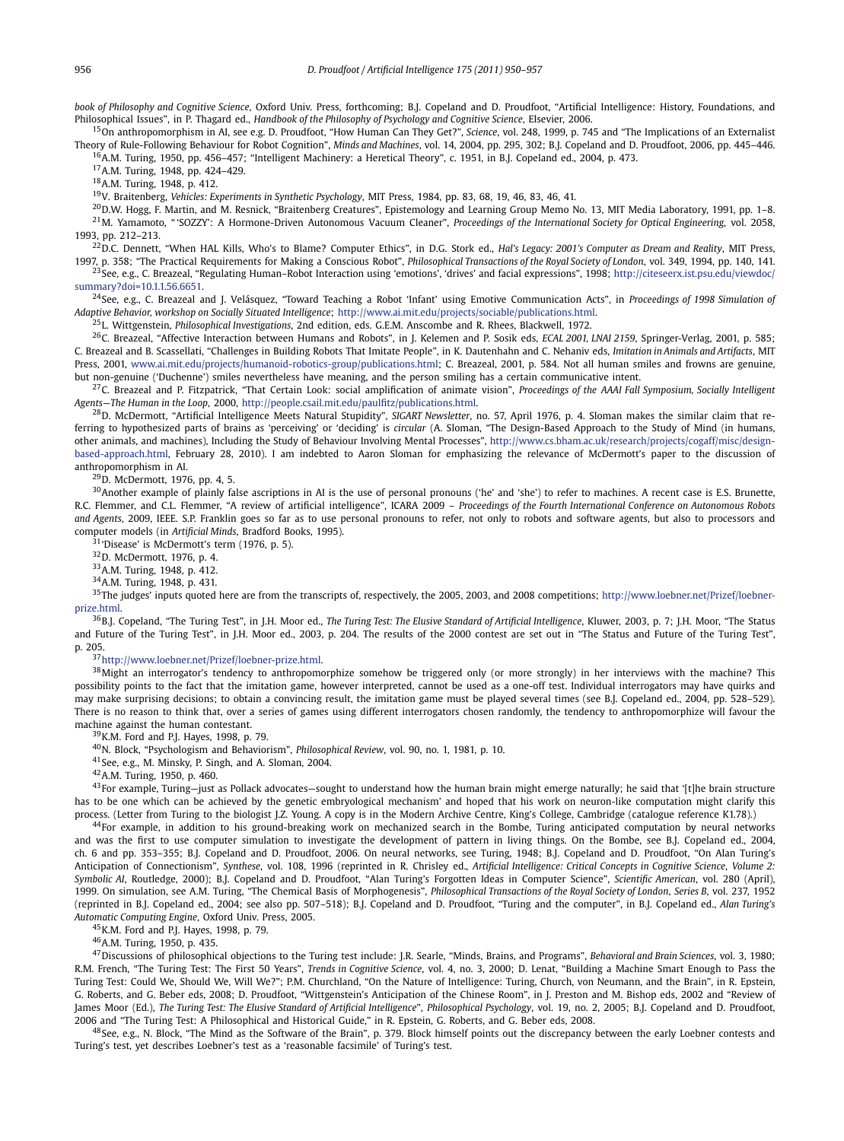*book of Philosophy and Cognitive Science*, Oxford Univ. Press, forthcoming; B.J. Copeland and D. Proudfoot, "Artificial Intelligence: History, Foundations, and Philosophical Issues", in P. Thagard ed., *Handbook of the Philosophy of Psychology and Cognitive Science*, Elsevier, 2006.

15On anthropomorphism in AI, see e.g. D. Proudfoot, "How Human Can They Get?", *Science*, vol. 248, 1999, p. 745 and "The Implications of an Externalist Theory of Rule-Following Behaviour for Robot Cognition", *Minds and Machines*, vol. 14, 2004, pp. 295, 302; B.J. Copeland and D. Proudfoot, 2006, pp. 445–446. 16A.M. Turing, 1950, pp. 456–457; "Intelligent Machinery: a Heretical Theory", c. 1951, in B.J. Copeland ed., 2004, p. 473.

17A.M. Turing, 1948, pp. 424–429.

18A.M. Turing, 1948, p. 412.

19V. Braitenberg, *Vehicles: Experiments in Synthetic Psychology*, MIT Press, 1984, pp. 83, 68, 19, 46, 83, 46, 41.

 $^{20}$ D.W. Hogg, F. Martin, and M. Resnick, "Braitenberg Creatures", Epistemology and Learning Group Memo No. 13, MIT Media Laboratory, 1991, pp. 1–8. 21M. Yamamoto, " 'SOZZY': A Hormone-Driven Autonomous Vacuum Cleaner", *Proceedings of the International Society for Optical Engineering*, vol. 2058, 1993, pp. 212–213.

22D.C. Dennett, "When HAL Kills, Who's to Blame? Computer Ethics", in D.G. Stork ed., *Hal's Legacy: 2001's Computer as Dream and Reality*, MIT Press, 1997, p. 358; "The Practical Requirements for Making a Conscious Robot", *Philosophical Transactions of the Royal Society of London*, vol. 349, 1994, pp. 140, 141.

<sup>23</sup>See, e.g., C. Breazeal, "Regulating Human–Robot Interaction using 'emotions', 'drives' and facial expressions", 1998; [http://citeseerx.ist.psu.edu/viewdoc/](http://citeseerx.ist.psu.edu/viewdoc/summary?doi=10.1.1.56.6651) [summary?doi=10.1.1.56.6651.](http://citeseerx.ist.psu.edu/viewdoc/summary?doi=10.1.1.56.6651) 24See, e.g., C. Breazeal and J. Velásquez, "Toward Teaching a Robot 'Infant' using Emotive Communication Acts", in *Proceedings of 1998 Simulation of*

*Adaptive Behavior, workshop on Socially Situated Intelligence*; [http://www.ai.mit.edu/projects/sociable/publications.html.](http://www.ai.mit.edu/projects/sociable/publications.html)

25L. Wittgenstein, *Philosophical Investigations*, 2nd edition, eds. G.E.M. Anscombe and R. Rhees, Blackwell, 1972.

26C. Breazeal, "Affective Interaction between Humans and Robots", in J. Kelemen and P. Sosik eds, *ECAL 2001, LNAI 2159*, Springer-Verlag, 2001, p. 585; C. Breazeal and B. Scassellati, "Challenges in Building Robots That Imitate People", in K. Dautenhahn and C. Nehaniv eds, *Imitation in Animals and Artifacts*, MIT Press, 2001, <www.ai.mit.edu/projects/humanoid-robotics-group/publications.html>; C. Breazeal, 2001, p. 584. Not all human smiles and frowns are genuine, but non-genuine ('Duchenne') smiles nevertheless have meaning, and the person smiling has a certain communicative intent.

27C. Breazeal and P. Fitzpatrick, "That Certain Look: social amplification of animate vision", *Proceedings of the AAAI Fall Symposium, Socially Intelligent Agents—The Human in the Loop*, 2000, <http://people.csail.mit.edu/paulfitz/publications.html>.

28D. McDermott, "Artificial Intelligence Meets Natural Stupidity", *SIGART Newsletter*, no. 57, April 1976, p. 4. Sloman makes the similar claim that referring to hypothesized parts of brains as 'perceiving' or 'deciding' is *circular* (A. Sloman, "The Design-Based Approach to the Study of Mind (in humans, other animals, and machines), Including the Study of Behaviour Involving Mental Processes", [http://www.cs.bham.ac.uk/research/projects/cogaff/misc/design](http://www.cs.bham.ac.uk/research/projects/cogaff/misc/design-based-approach.html)[based-approach.html](http://www.cs.bham.ac.uk/research/projects/cogaff/misc/design-based-approach.html), February 28, 2010). I am indebted to Aaron Sloman for emphasizing the relevance of McDermott's paper to the discussion of anthropomorphism in AI.

29D. McDermott, 1976, pp. 4, 5.

<sup>30</sup>Another example of plainly false ascriptions in AI is the use of personal pronouns ('he' and 'she') to refer to machines. A recent case is E.S. Brunette, R.C. Flemmer, and C.L. Flemmer, "A review of artificial intelligence", ICARA 2009 – *Proceedings of the Fourth International Conference on Autonomous Robots and Agents*, 2009, IEEE. S.P. Franklin goes so far as to use personal pronouns to refer, not only to robots and software agents, but also to processors and computer models (in *Artificial Minds*, Bradford Books, 1995).

 $31$ <sup>'</sup>Disease' is McDermott's term (1976, p. 5).

32D. McDermott, 1976, p. 4.

33A.M. Turing, 1948, p. 412.

34A.M. Turing, 1948, p. 431.

<sup>35</sup>The judges' inputs quoted here are from the transcripts of, respectively, the 2005, 2003, and 2008 competitions; [http://www.loebner.net/Prizef/loebner](http://www.loebner.net/Prizef/loebner-prize.html)[prize.html.](http://www.loebner.net/Prizef/loebner-prize.html)

36B.J. Copeland, "The Turing Test", in J.H. Moor ed., *The Turing Test: The Elusive Standard of Artificial Intelligence*, Kluwer, 2003, p. 7; J.H. Moor, "The Status and Future of the Turing Test", in J.H. Moor ed., 2003, p. 204. The results of the 2000 contest are set out in "The Status and Future of the Turing Test", p. 205.

3[7http://www.loebner.net/Prizef/loebner-prize.html.](http://www.loebner.net/Prizef/loebner-prize.html)

 $38$ Might an interrogator's tendency to anthropomorphize somehow be triggered only (or more strongly) in her interviews with the machine? This possibility points to the fact that the imitation game, however interpreted, cannot be used as a one-off test. Individual interrogators may have quirks and may make surprising decisions; to obtain a convincing result, the imitation game must be played several times (see B.J. Copeland ed., 2004, pp. 528–529). There is no reason to think that, over a series of games using different interrogators chosen randomly, the tendency to anthropomorphize will favour the machine against the human contestant.

39K.M. Ford and P.J. Hayes, 1998, p. 79.

40N. Block, "Psychologism and Behaviorism", *Philosophical Review*, vol. 90, no. 1, 1981, p. 10.

41See, e.g., M. Minsky, P. Singh, and A. Sloman, 2004.

42A.M. Turing, 1950, p. 460.

 $^{43}$ For example, Turing—just as Pollack advocates—sought to understand how the human brain might emerge naturally; he said that '[t]he brain structure has to be one which can be achieved by the genetic embryological mechanism' and hoped that his work on neuron-like computation might clarify this process. (Letter from Turing to the biologist J.Z. Young. A copy is in the Modern Archive Centre, King's College, Cambridge (catalogue reference K1.78).)

<sup>44</sup>For example, in addition to his ground-breaking work on mechanized search in the Bombe, Turing anticipated computation by neural networks and was the first to use computer simulation to investigate the development of pattern in living things. On the Bombe, see B.J. Copeland ed., 2004, ch. 6 and pp. 353–355; B.J. Copeland and D. Proudfoot, 2006. On neural networks, see Turing, 1948; B.J. Copeland and D. Proudfoot, "On Alan Turing's Anticipation of Connectionism", *Synthese*, vol. 108, 1996 (reprinted in R. Chrisley ed., *Artificial Intelligence: Critical Concepts in Cognitive Science*, *Volume 2: Symbolic AI*, Routledge, 2000); B.J. Copeland and D. Proudfoot, "Alan Turing's Forgotten Ideas in Computer Science", *Scientific American*, vol. 280 (April), 1999. On simulation, see A.M. Turing, "The Chemical Basis of Morphogenesis", *Philosophical Transactions of the Royal Society of London*, *Series B*, vol. 237, 1952 (reprinted in B.J. Copeland ed., 2004; see also pp. 507–518); B.J. Copeland and D. Proudfoot, "Turing and the computer", in B.J. Copeland ed., *Alan Turing's Automatic Computing Engine*, Oxford Univ. Press, 2005.

45K.M. Ford and P.J. Hayes, 1998, p. 79.

46A.M. Turing, 1950, p. 435.

47Discussions of philosophical objections to the Turing test include: J.R. Searle, "Minds, Brains, and Programs", *Behavioral and Brain Sciences*, vol. 3, 1980; R.M. French, "The Turing Test: The First 50 Years", *Trends in Cognitive Science*, vol. 4, no. 3, 2000; D. Lenat, "Building a Machine Smart Enough to Pass the Turing Test: Could We, Should We, Will We?"; P.M. Churchland, "On the Nature of Intelligence: Turing, Church, von Neumann, and the Brain", in R. Epstein, G. Roberts, and G. Beber eds, 2008; D. Proudfoot, "Wittgenstein's Anticipation of the Chinese Room", in J. Preston and M. Bishop eds, 2002 and "Review of James Moor (Ed.), *The Turing Test: The Elusive Standard of Artificial Intelligence*", *Philosophical Psychology*, vol. 19, no. 2, 2005; B.J. Copeland and D. Proudfoot, 2006 and "The Turing Test: A Philosophical and Historical Guide," in R. Epstein, G. Roberts, and G. Beber eds, 2008.

48See, e.g., N. Block, "The Mind as the Software of the Brain", p. 379. Block himself points out the discrepancy between the early Loebner contests and Turing's test, yet describes Loebner's test as a 'reasonable facsimile' of Turing's test.